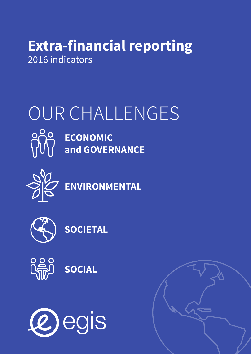## **Extra-financial reporting** 2016 indicators

# OUR CHALLENGES



**ECONOMIC and GOVERNANCE**





**SOCIETAL**



**SOCIAL**



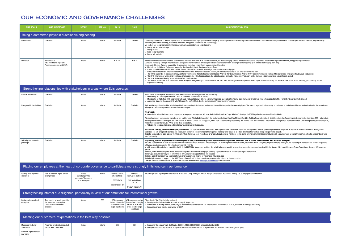#### OUR ECONOMIC AND GOVERNANCE CHALLENGES

| <b>OUR GOALS</b>                                                                                             | <b>OUR INDICATORS</b>                                                                                         | <b>SCOPE</b>                                                                                       | <b>REF (GRI)</b>                 | 2015                                                                             | 2016                                                                                                              | <b>ACHIEVEMENTS IN 2016</b>                                                                                                                                                                                                                                                                                                                                                                                                                                                                                                                                                                                                                                                                                                                                                                                                                                                                                                                                                                                                                                                                                                                                                                                                                                                                                                                                                                                                                                                                                                                                                                                                                                                                                                                                                                                                                                                                                                                                                                                                                                                                                                                                                                                                                                                                                                                                                                                                                                                                                                                                                                                                                                                                                                                                                                                                                                                                                                                                                                                                                                                                                                                                                                                                                                                                                                                                                                                                                                                                                                                        |  |  |
|--------------------------------------------------------------------------------------------------------------|---------------------------------------------------------------------------------------------------------------|----------------------------------------------------------------------------------------------------|----------------------------------|----------------------------------------------------------------------------------|-------------------------------------------------------------------------------------------------------------------|----------------------------------------------------------------------------------------------------------------------------------------------------------------------------------------------------------------------------------------------------------------------------------------------------------------------------------------------------------------------------------------------------------------------------------------------------------------------------------------------------------------------------------------------------------------------------------------------------------------------------------------------------------------------------------------------------------------------------------------------------------------------------------------------------------------------------------------------------------------------------------------------------------------------------------------------------------------------------------------------------------------------------------------------------------------------------------------------------------------------------------------------------------------------------------------------------------------------------------------------------------------------------------------------------------------------------------------------------------------------------------------------------------------------------------------------------------------------------------------------------------------------------------------------------------------------------------------------------------------------------------------------------------------------------------------------------------------------------------------------------------------------------------------------------------------------------------------------------------------------------------------------------------------------------------------------------------------------------------------------------------------------------------------------------------------------------------------------------------------------------------------------------------------------------------------------------------------------------------------------------------------------------------------------------------------------------------------------------------------------------------------------------------------------------------------------------------------------------------------------------------------------------------------------------------------------------------------------------------------------------------------------------------------------------------------------------------------------------------------------------------------------------------------------------------------------------------------------------------------------------------------------------------------------------------------------------------------------------------------------------------------------------------------------------------------------------------------------------------------------------------------------------------------------------------------------------------------------------------------------------------------------------------------------------------------------------------------------------------------------------------------------------------------------------------------------------------------------------------------------------------------------------------------------------|--|--|
| Being a committed player in sustainable engineering                                                          |                                                                                                               |                                                                                                    |                                  |                                                                                  |                                                                                                                   |                                                                                                                                                                                                                                                                                                                                                                                                                                                                                                                                                                                                                                                                                                                                                                                                                                                                                                                                                                                                                                                                                                                                                                                                                                                                                                                                                                                                                                                                                                                                                                                                                                                                                                                                                                                                                                                                                                                                                                                                                                                                                                                                                                                                                                                                                                                                                                                                                                                                                                                                                                                                                                                                                                                                                                                                                                                                                                                                                                                                                                                                                                                                                                                                                                                                                                                                                                                                                                                                                                                                                    |  |  |
| Commitments                                                                                                  | Qualitative                                                                                                   | Group                                                                                              | Internal                         | Qualitative                                                                      | Qualitative                                                                                                       | Continuing on from COP 21 and 22, Eqis declares its commitment to the fight against climate change by proposing solutions to accompany the transition towards a low-carbon economy in all its fields of activity (new modes of<br>autonomy, low-carbon buildings, biodiversity protection, energy mix, smart cities and urban energy).<br>An ecology and energy transition (EET) strategy has been developed around several sectors:<br>• Energy efficiency for buildings<br>• Energy in cities<br>• Local energy autonomy<br>• Energy mix projects                                                                                                                                                                                                                                                                                                                                                                                                                                                                                                                                                                                                                                                                                                                                                                                                                                                                                                                                                                                                                                                                                                                                                                                                                                                                                                                                                                                                                                                                                                                                                                                                                                                                                                                                                                                                                                                                                                                                                                                                                                                                                                                                                                                                                                                                                                                                                                                                                                                                                                                                                                                                                                                                                                                                                                                                                                                                                                                                                                                                |  |  |
| Innovation                                                                                                   | The amount of<br>R&D investments eligible for<br>French research tax credit (CIR)                             | Group                                                                                              | Internal                         | €14.2 m                                                                          | €16 m                                                                                                             | Innovation remains one of the priorities for maintaining technical excellence in all our business areas, but also opening up towards new services/products. Emphasis is placed on the triple environmental, energy and digital<br>2016 was marked by a change in our innovation ecosystem, in order to make it more agile, with events and collaborative challenges and an opening-up to external partners (e.g. start-ups).<br>Once again this year, Egis was awarded for its innovations: more than 10 significant awards received, including:<br>• First prize in the National Engineering Awards for the Citadelle bridge in Strasbourg (French Town)<br>• A prize in the MIPIM Awards 2016 for the DUO Towers in Paris (French capital), where Egis undertook the structural project<br>• Honourable mention in the Urban Innovation Awards for the "peak traffic flow reduction" solution, an innovation honoured on two other occasions this year<br>• The "Wind-it, provider of sustainable energy solutions" film received the Industrial Innovation Special Award at the "Deauville Green Awards 2016" festival (international festival of the sustainable development audiovisu<br>• The 2016 Innovapresse writing award for Urban Challenges in the "climate adaptation in the urban landscape and water management" category for the Mureaux urban regeneration project (French project)<br>• The 2016 Sustainable Mobility Trophy with the KiWhi Pass® solution.<br>• Two awards at the CUBE 2020 competition, which recognises energy savings. A Golden Cube for the Terra Nova 3 building in Montreuil (Building where Egis is located - France), and a Bronze Cube for the START building (Egis<br>Guvancourt - France)                                                                                                                                                                                                                                                                                                                                                                                                                                                                                                                                                                                                                                                                                                                                                                                                                                                                                                                                                                                                                                                                                                                                                                                                                                                                                                                                                                                                                                                                                                                                                                                                                                                                                                                                                                                                           |  |  |
|                                                                                                              | Strengthening relationships with stakeholders in areas where Egis operates.                                   |                                                                                                    |                                  |                                                                                  |                                                                                                                   |                                                                                                                                                                                                                                                                                                                                                                                                                                                                                                                                                                                                                                                                                                                                                                                                                                                                                                                                                                                                                                                                                                                                                                                                                                                                                                                                                                                                                                                                                                                                                                                                                                                                                                                                                                                                                                                                                                                                                                                                                                                                                                                                                                                                                                                                                                                                                                                                                                                                                                                                                                                                                                                                                                                                                                                                                                                                                                                                                                                                                                                                                                                                                                                                                                                                                                                                                                                                                                                                                                                                                    |  |  |
| External partnerships                                                                                        | Qualitative                                                                                                   | Group                                                                                              | Internal                         | Qualitative                                                                      | Qualitative                                                                                                       | Continuation of our targeted partnerships, particularly on climate and energy issues, and biodiversity<br>• Membership of CEEBIOS (the European Centre of Excellence in Biomimicry at Senlis)<br>• Membership of the Nature 2050 programme with CDC Biodiversité (nature 2050 is a program to protect and restore the natural, agricultural and forest areas, for a better adaptation of the French territories to climate chan<br>• Agreement signed in December 2016 with R20 (a not-for-profit NGO) to develop and implement "waste to energy" projects                                                                                                                                                                                                                                                                                                                                                                                                                                                                                                                                                                                                                                                                                                                                                                                                                                                                                                                                                                                                                                                                                                                                                                                                                                                                                                                                                                                                                                                                                                                                                                                                                                                                                                                                                                                                                                                                                                                                                                                                                                                                                                                                                                                                                                                                                                                                                                                                                                                                                                                                                                                                                                                                                                                                                                                                                                                                                                                                                                                         |  |  |
| Dialogue with stakeholders<br>Solidarity and corporate<br>patronage<br>Opening up of capital to<br>employees | Qualitative<br>Qualitative<br>25% of the share capital owned<br>by employees                                  | Group<br>Group<br>France<br><b>Executive partners</b><br>and mutual funds open<br>to all employees | Internal<br>Internal<br>Internal | Qualitative<br>Qualitative<br>Partners = $74.4%$<br>(453 partners)<br>FCPE 17.6% | Qualitative<br>Qualitative<br>Partners:<br>76.2% (455 partners)<br>FCPE mutual funds:<br>20.1%                    | Egis maintains good relationships with its key stakeholders, owning to its business sectors and the need to be open to other external players. The need for a general understanding of the issues, for definition and for co-c<br>dialogue as central to its governance. Here are a few examples:<br>On projects:<br>• Consultation with stakeholders is an integral part of our project management. We have dedicated tools such as "e-participative", developed in 2016 to gather the opinions of local residents.<br>We also have many partnerships. Examples of key contributions: The Palladio foundation, the Sustainable Building Plan (Plan Bâtiment Durable), Building Smart International, Medi@construct, the Syntec-Ingénierie engineering<br>which gather French CSR managers, the Saint Quentin in Yvelines Climate and Energy Club, BBCA (Low Carbon Building Association), the "Oui Au Bois" and "ADIVbois"- associations which promote wood construction, Certivea engi<br>CEEBIOS, Business Clusters, the PIARC (World Road Association).<br>• With clients: Egis consolidates its satisfaction surveys at group level each year<br>On the CSR strategy, solutions developed, innovations: The Egis Sustainable Development Steering Committee meets twice a year and is composed of internal spokespeople and external parties recognised in different fields of<br>activities. The aim is to provide a critical and constructive opinion on our solutions and the responses we bring to SD issues or to debate dilemmas that we face during our operational projects.<br>In 2016, Egis wanted to learn lessons from this committee after it had been in existence for 6 years. Results: crucial monitoring points, points for improvement and strengths but overall, a glowing report all round from pa<br>win" partnership.<br>Day-to-day, various programmes enable employees to take part in solidarity action and launch eco-responsible initiatives, both in France and worldwide. Here are a few examples:<br>In 2016, Egis continued its skills sponsorship with the "Nos Quartiers ont du Talent" association (NQT, or "Our Neighbourhoods Got Talent", association which help young people to find job). Each year, we are seeing an incr<br>(28 young people sponsored in 2014, the launch year; 52 in 2016).<br>A skills sponsorship project was also initiated with the SAMU SOCIAL (emergency social service which help street people) to renovate a care and accommodation site within the Charles-Foix Hospital in Ivy sur Seine (French t<br>people.<br>In Brazil, teams mobilised against breast cancer for the global "Pink October" campaign, and they organised a collection of warm clothing for the homeless.<br>In Portugal, a country severely hit by forest fires in 2016, employees supported local fire brigades.<br>In Qatar, a safety campaign was organised to raise awareness among children of the dangers of building sites.<br>In India, Egis renewed its support for the NGO "Salaam Baalak Trust" to fund a nutritional programme for children at the Aasra centre<br>The Egis Foundation celebrated its 10 year anniversary; find out more here: http://egis-fondation.fr/ (French website)<br>Placing our employees at the heart of corporate governance to participate more strongly in its long-term performance.<br>In June, Egis once again opened up a share of its capital to Group employees through the Egis Shareholders mutual fund. Nearly 77% of employees subscribed to it. |  |  |
|                                                                                                              |                                                                                                               |                                                                                                    |                                  | Treasury stock: 8%                                                               | Treasury stock: 3.7%                                                                                              |                                                                                                                                                                                                                                                                                                                                                                                                                                                                                                                                                                                                                                                                                                                                                                                                                                                                                                                                                                                                                                                                                                                                                                                                                                                                                                                                                                                                                                                                                                                                                                                                                                                                                                                                                                                                                                                                                                                                                                                                                                                                                                                                                                                                                                                                                                                                                                                                                                                                                                                                                                                                                                                                                                                                                                                                                                                                                                                                                                                                                                                                                                                                                                                                                                                                                                                                                                                                                                                                                                                                                    |  |  |
| Strengthening internal due diligence, particularly in view of our ambitions for international growth.        |                                                                                                               |                                                                                                    |                                  |                                                                                  |                                                                                                                   |                                                                                                                                                                                                                                                                                                                                                                                                                                                                                                                                                                                                                                                                                                                                                                                                                                                                                                                                                                                                                                                                                                                                                                                                                                                                                                                                                                                                                                                                                                                                                                                                                                                                                                                                                                                                                                                                                                                                                                                                                                                                                                                                                                                                                                                                                                                                                                                                                                                                                                                                                                                                                                                                                                                                                                                                                                                                                                                                                                                                                                                                                                                                                                                                                                                                                                                                                                                                                                                                                                                                                    |  |  |
| Business ethics and anti-<br>corruption                                                                      | Total number of people trained in<br>the prevention of corruption,<br>criminal risk and business<br>practices | Group                                                                                              | S03                              | 351 managers<br>trained at the end of<br>2015 (80% of the<br>target population)  | 437 managers received<br>face-to-face training by<br>the end of 2016 (81%<br>of the updated target<br>population) | The roll-out of the Ethics initiative continued:<br>• Development and dissemination of a code of integrity for partners<br>• Continuation of training courses, particularly for international subsidiaries with two sessions in the Middle East (+ in 2016, expansion of the target population)<br>• Preparation of an e-learning programme for 2017                                                                                                                                                                                                                                                                                                                                                                                                                                                                                                                                                                                                                                                                                                                                                                                                                                                                                                                                                                                                                                                                                                                                                                                                                                                                                                                                                                                                                                                                                                                                                                                                                                                                                                                                                                                                                                                                                                                                                                                                                                                                                                                                                                                                                                                                                                                                                                                                                                                                                                                                                                                                                                                                                                                                                                                                                                                                                                                                                                                                                                                                                                                                                                                               |  |  |
| Meeting our customers 'expectations in the best way possible.                                                |                                                                                                               |                                                                                                    |                                  |                                                                                  |                                                                                                                   |                                                                                                                                                                                                                                                                                                                                                                                                                                                                                                                                                                                                                                                                                                                                                                                                                                                                                                                                                                                                                                                                                                                                                                                                                                                                                                                                                                                                                                                                                                                                                                                                                                                                                                                                                                                                                                                                                                                                                                                                                                                                                                                                                                                                                                                                                                                                                                                                                                                                                                                                                                                                                                                                                                                                                                                                                                                                                                                                                                                                                                                                                                                                                                                                                                                                                                                                                                                                                                                                                                                                                    |  |  |
| <b>Monitoring Customer</b><br>Satisfaction<br>Customer expectations on<br>new topics                         | Proportion of Egis's business that<br>has ISO 9001 certification                                              | Group                                                                                              | Internal                         | 88%                                                                              | 90%                                                                                                               | • Renewal of the group's Triple Certification (ISO9001/14001/OHSAS18001) obtained in October 2016.<br>• Reorganisation of activity by fields, by regional clusters and business sectors on a global level. For a clearer understanding of the group.                                                                                                                                                                                                                                                                                                                                                                                                                                                                                                                                                                                                                                                                                                                                                                                                                                                                                                                                                                                                                                                                                                                                                                                                                                                                                                                                                                                                                                                                                                                                                                                                                                                                                                                                                                                                                                                                                                                                                                                                                                                                                                                                                                                                                                                                                                                                                                                                                                                                                                                                                                                                                                                                                                                                                                                                                                                                                                                                                                                                                                                                                                                                                                                                                                                                                               |  |  |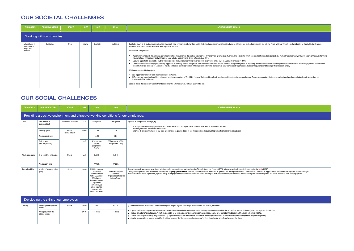### OUR SOCIETAL CHALLENGES

| <b>OUR GOALS</b>                                               | <b>OUR INDICATORS</b>     | <b>SCOPE</b> | <b>REF</b> | 2015        | 2016        | <b>ACHIEVEMENTS IN 2016</b>                                                                                                                                                                                                                                                                                                                                                                                                                                                                                                                                                                                                                                                                                                                                                                                                                                                                                                                                                                                                                                                                                                                                                                                                                                                                                                                                                                                                                                                                                                                                                                                                                                                                                                                                                                                                           |
|----------------------------------------------------------------|---------------------------|--------------|------------|-------------|-------------|---------------------------------------------------------------------------------------------------------------------------------------------------------------------------------------------------------------------------------------------------------------------------------------------------------------------------------------------------------------------------------------------------------------------------------------------------------------------------------------------------------------------------------------------------------------------------------------------------------------------------------------------------------------------------------------------------------------------------------------------------------------------------------------------------------------------------------------------------------------------------------------------------------------------------------------------------------------------------------------------------------------------------------------------------------------------------------------------------------------------------------------------------------------------------------------------------------------------------------------------------------------------------------------------------------------------------------------------------------------------------------------------------------------------------------------------------------------------------------------------------------------------------------------------------------------------------------------------------------------------------------------------------------------------------------------------------------------------------------------------------------------------------------------------------------------------------------------|
|                                                                | Working with communities. |              |            |             |             |                                                                                                                                                                                                                                                                                                                                                                                                                                                                                                                                                                                                                                                                                                                                                                                                                                                                                                                                                                                                                                                                                                                                                                                                                                                                                                                                                                                                                                                                                                                                                                                                                                                                                                                                                                                                                                       |
| Actions taken in<br>favour of local<br>people and<br>residents | Qualitative               | Group        | Internal   | Qualitative | Qualitative | Due to the nature of its assignments (regional development), most of the projects led by Egis contribute to local development, and the attractiveness of the region. Regional development is a priority. This is achieved thro<br>systematic consideration of societal issues and responsible practices.<br>Examples of 2016 projects:<br>Agreement reached with the Jordanian government for the improvement of the drinking water service in the northern governorates of Jordan. This project, for which Egis supplies technical assistance to the Yarmouk Water Comp<br>water shortages in the country and will help it to cope with the mass arrival of Syrian refugees since 2011.<br>Egis was appointed to conduct the study of water resources that will enable drinking water supply to be provided for the town of Arusha, in Tanzania, by 2030.<br>Technical assistance for the project providing support for civil society in Chad. This project aims to connect democracy and the culture of dialogue and peace, by increasing the involvement of civil society organisations a<br>social life. Services provided by Eqis include the standardisation and modernisation of the legal and institutional framework of Chad's civil society organisations, but also the quidance and training of its civil society a<br>2016 examples of solidarity projects:<br>• Egis supported a volleyball team via an association (in Algeria).<br>• At Operscut, an operational subsidiary in Portugal, employees organised a "OperKids" "fun day" for the children of staff members and those from the surrounding area. Games were organised, but also fire extinguisher handl<br>involvement of the canine unit.<br>See also above, the section on "Solidarity and sponsoring" for actions in Brazil, Portugal, Qatar, India, etc. |

### OUR SOCIAL CHALLENGES

| <b>OUR GOALS</b>                                                                      | <b>OUR INDICATORS</b>                    | <b>SCOPE</b>              | <b>REF</b>      | 2015                                                                                                                                                                                                     | 2016                                                                         | <b>ACHIEVEMENTS IN 2016</b>                                                                                                                                                                                                                                                                                                                                                                                                                                                                                                                                                                                                                                                                                                                                                      |  |  |  |
|---------------------------------------------------------------------------------------|------------------------------------------|---------------------------|-----------------|----------------------------------------------------------------------------------------------------------------------------------------------------------------------------------------------------------|------------------------------------------------------------------------------|----------------------------------------------------------------------------------------------------------------------------------------------------------------------------------------------------------------------------------------------------------------------------------------------------------------------------------------------------------------------------------------------------------------------------------------------------------------------------------------------------------------------------------------------------------------------------------------------------------------------------------------------------------------------------------------------------------------------------------------------------------------------------------|--|--|--|
| Providing a positive environment and attractive working conditions for our employees. |                                          |                           |                 |                                                                                                                                                                                                          |                                                                              |                                                                                                                                                                                                                                                                                                                                                                                                                                                                                                                                                                                                                                                                                                                                                                                  |  |  |  |
| Jobs                                                                                  | Total number of<br>permanent staff       | France excl. operators    | LA <sub>1</sub> | 3937 people                                                                                                                                                                                              | 3842 people                                                                  | Egis acts as a responsible employer, by:<br>focusing on sustainable employment (the last 3 years, over 95% of employees based in France have been on permanent contracts)<br>$\bullet$                                                                                                                                                                                                                                                                                                                                                                                                                                                                                                                                                                                           |  |  |  |
|                                                                                       | Seniority (years)                        | France<br>Permanent staff | Internal        | 11.33                                                                                                                                                                                                    | 10                                                                           | promoting employee professional development<br>renewing its anti-discrimination policy: main actions focus on gender, disability and intergenerational equality (3 agreements on each of these subjects)<br>$\bullet$                                                                                                                                                                                                                                                                                                                                                                                                                                                                                                                                                            |  |  |  |
|                                                                                       | Average age (years)                      |                           |                 | 42.36                                                                                                                                                                                                    | 41.5                                                                         |                                                                                                                                                                                                                                                                                                                                                                                                                                                                                                                                                                                                                                                                                                                                                                                  |  |  |  |
|                                                                                       | Staff turnover<br>(incl. resignations)   |                           | LA <sub>2</sub> | 426 people or<br>10.16%<br>(resignations<br>3.65%                                                                                                                                                        | 365 people Or 8.30%<br>(resignations 3.4%)                                   |                                                                                                                                                                                                                                                                                                                                                                                                                                                                                                                                                                                                                                                                                                                                                                                  |  |  |  |
| Work organisation                                                                     | % of part-time employees                 | France                    | LA <sub>1</sub> | 8.69%                                                                                                                                                                                                    | 9.21%                                                                        |                                                                                                                                                                                                                                                                                                                                                                                                                                                                                                                                                                                                                                                                                                                                                                                  |  |  |  |
|                                                                                       | Average part-time                        |                           |                 | 77.18%                                                                                                                                                                                                   | 77.23%                                                                       |                                                                                                                                                                                                                                                                                                                                                                                                                                                                                                                                                                                                                                                                                                                                                                                  |  |  |  |
| Internal mobility                                                                     | Number of transfers in the<br>group      | Group                     | Internal        | 118 inter-company<br>transfers (4<br>internal transfers<br>to the CDC group,<br>86 individual<br>transfers between<br>Egis Group<br>companies, 28<br>group transfers<br>between Egis<br>Group companies) | 129 inter-company<br>transfers<br>130 geographic transfers<br>to/from France | Several framework agreements were signed with trade union representatives, particularly on the Strategic Workforce Planning (GPEC) with a renewed and completed agreement at the start of 2016.<br>This agreement provides for a reinforced support system for geographic transfers in certain jobs considered as "sensitive" or "priority" and the implementation of "skills-transfer" contracts to support certain professional<br>As allowed for in this GPEC agreement, Egis also set up an employment observatory with the main aim of identifying the short/medium-term needs across our fields of activity and of translating these into action in terms of                                                                                                               |  |  |  |
| Developing the skills of our employees.                                               |                                          |                           |                 |                                                                                                                                                                                                          |                                                                              |                                                                                                                                                                                                                                                                                                                                                                                                                                                                                                                                                                                                                                                                                                                                                                                  |  |  |  |
| Training                                                                              | Percentage of employees<br>trained       | France                    | Internal        | 62%                                                                                                                                                                                                      | 65.2%                                                                        | • Maintenance of the investment in terms of training over the past 5 years (on average, 4000 activities and over 50,000 hours).                                                                                                                                                                                                                                                                                                                                                                                                                                                                                                                                                                                                                                                  |  |  |  |
|                                                                                       | Average duration of a<br>training course |                           | LA 10           | 11 hours                                                                                                                                                                                                 | 11 hours                                                                     | • Expansion of training programmes with enhanced activity related to mentoring and training route building/professionalisation within the scope of the group's strategies (project management, in particular).<br>● Gradual roll-out of a "Digital Learning" platform accessible to all employees worldwide, and in particular enabling teams to be trained on the basics (health & safety e-learning in 2016).<br>• Specific Egis Campus university programmes for key populations in positions and potential positions on the strategic focus areas (customer development, management, project management).<br>• Specific managerial development project for all entities: launch of the "Imagine managing tomorrow" project: formalisation of the Group's managerial charter. |  |  |  |

iority. This is achieved through a sustained policy of stakeholder involvement, assistance to the Yarmouk Water Company (YWC), will address the issue of drinking sed, but also fire extinguisher handling, reminder of safety instructions and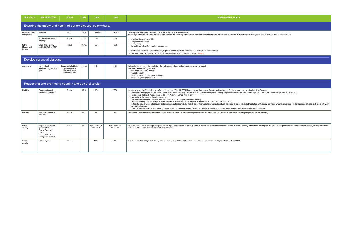| <b>OUR GOALS</b>                                             | <b>OUR INDICATORS</b>                                                                                                          | <b>SCOPE</b>                                                                               | <b>REF</b>      | 2015                         | 2016                         | <b>ACHIEVEMENTS IN 2016</b>                                                                                                                                                                                                                                                                                                                                                                                                                                                                                                                                                                                                                                                                                                                                                                                                                                                                                                                                                                                                                                                                                                                                                                                                                                                        |  |  |  |
|--------------------------------------------------------------|--------------------------------------------------------------------------------------------------------------------------------|--------------------------------------------------------------------------------------------|-----------------|------------------------------|------------------------------|------------------------------------------------------------------------------------------------------------------------------------------------------------------------------------------------------------------------------------------------------------------------------------------------------------------------------------------------------------------------------------------------------------------------------------------------------------------------------------------------------------------------------------------------------------------------------------------------------------------------------------------------------------------------------------------------------------------------------------------------------------------------------------------------------------------------------------------------------------------------------------------------------------------------------------------------------------------------------------------------------------------------------------------------------------------------------------------------------------------------------------------------------------------------------------------------------------------------------------------------------------------------------------|--|--|--|
| Ensuring the safety and health of our employees, everywhere. |                                                                                                                                |                                                                                            |                 |                              |                              |                                                                                                                                                                                                                                                                                                                                                                                                                                                                                                                                                                                                                                                                                                                                                                                                                                                                                                                                                                                                                                                                                                                                                                                                                                                                                    |  |  |  |
| <b>Health and Safety</b><br>of employees                     | Procedure                                                                                                                      | Group                                                                                      | Internal        | Qualitative                  | Qualitative                  | The Group obtained triple certification in October 2015, which was renewed in 2016.<br>As such. Egis is rolling out a "safety attitude by Egis" initiative and controlling regulatory aspects related to health and safety. This initiative is described in the Performance Management Manual. Th                                                                                                                                                                                                                                                                                                                                                                                                                                                                                                                                                                                                                                                                                                                                                                                                                                                                                                                                                                                  |  |  |  |
|                                                              | Accidents involving work<br>stoppage                                                                                           | France                                                                                     | LA <sub>7</sub> | 29                           | 26                           | • Prevention of psycho-social risks<br>• Safety of overseas travels                                                                                                                                                                                                                                                                                                                                                                                                                                                                                                                                                                                                                                                                                                                                                                                                                                                                                                                                                                                                                                                                                                                                                                                                                |  |  |  |
| Safety<br>Management                                         | Share of Egis activity<br>certified OHSAS or MASE                                                                              | Group                                                                                      | Internal        | 33%                          | 33%                          | • Building safety<br>• The health and safety of our employees on projects                                                                                                                                                                                                                                                                                                                                                                                                                                                                                                                                                                                                                                                                                                                                                                                                                                                                                                                                                                                                                                                                                                                                                                                                          |  |  |  |
| System                                                       |                                                                                                                                |                                                                                            |                 |                              |                              | Considering the importance of overseas activity, a specific HR initiative covers travel safety and assistance to staff concerned.<br>Roll-out in 2016 of an "e-Learning" course on the "safety attitude" to all employees of French companies.                                                                                                                                                                                                                                                                                                                                                                                                                                                                                                                                                                                                                                                                                                                                                                                                                                                                                                                                                                                                                                     |  |  |  |
| Developing social dialogue.                                  |                                                                                                                                |                                                                                            |                 |                              |                              |                                                                                                                                                                                                                                                                                                                                                                                                                                                                                                                                                                                                                                                                                                                                                                                                                                                                                                                                                                                                                                                                                                                                                                                                                                                                                    |  |  |  |
| Agreements                                                   | No. of collective<br>agreements signed by the<br>group                                                                         | Companies linked to the<br>Syntec-Ingénierie<br>convention and with a<br>stake of over 50% | Internal        | 29                           | 29                           | An important agreement on the introduction of a profit-sharing scheme for Egis Group employees was signed.<br>Other examples of signed agreements:<br>• On Strategic Workforce Planning<br>• On Gender Equality<br>• On the Employment of People with Disabilities<br>• On the Cycling Mileage Allowance                                                                                                                                                                                                                                                                                                                                                                                                                                                                                                                                                                                                                                                                                                                                                                                                                                                                                                                                                                           |  |  |  |
| Respecting and promoting equality and social diversity.      |                                                                                                                                |                                                                                            |                 |                              |                              |                                                                                                                                                                                                                                                                                                                                                                                                                                                                                                                                                                                                                                                                                                                                                                                                                                                                                                                                                                                                                                                                                                                                                                                                                                                                                    |  |  |  |
| Disability                                                   | Employment rate of<br>people with disabilities                                                                                 | France                                                                                     | LA 13           | 2.18%                        | 2.25%                        | Agreement signed (the 3 <sup>rd</sup> ) which provides for the introduction of Disability CESU (Universal Service Employment Cheques) and continuation of action to support people with disabilities; Examples:<br>• Sponsoring of an employee with a disability for the Snowboarding World Cup. He finished in 13th position in the general category, 10 places higher than the previous year. Egis is a partner of the<br>• Egis supported the French Parasport team in the 2016 Paralympic Games in Rio (Brazil)<br>• Organisation of the European Disability week, with:<br>- Distribution of a notebook to all employees (within France) on preconceptions relating to disability<br>- A quiz on disability (over 800 took part). The 15 winners received a food hamper prepared by Service and Work Assistance Facilities (SWAF).<br>• Hosting of a group of young college pupils and students, in partnership with the Arpejeh (association which helps young student with disabilities to realize projects) at head office. On this occasio<br>in a simulated scenario.<br>• An internal social network, "Mission Disability", was created. This network enables all activity committed to by Egis in terms of employment insertion and maintenance to now be centralised. |  |  |  |
| Over-55s                                                     | Rate of employment of<br>$(over-55s)$                                                                                          | France                                                                                     | LA 13           | 15%                          | 15%                          | Over the last 3 years, the average recruitment rate for the over-50s was 11% and the average employment rate for the over 55s was 15% (in both cases, exceeding the goals we had set ourselves).                                                                                                                                                                                                                                                                                                                                                                                                                                                                                                                                                                                                                                                                                                                                                                                                                                                                                                                                                                                                                                                                                   |  |  |  |
| Gender<br>equality                                           | Proportion of women in<br>governing bodies<br>Comex: Executive<br>Committee<br>CDO: Operational<br><b>Management Committee</b> | Group                                                                                      | LA 13           | Egis Comex: 2/9<br>CDO: 3/18 | Egis Comex: 3/9<br>CD0: 4/18 | On 17 May 2016, a new Gender Equality agreement was signed for three years. It basically relates to recruitment, development of action in schools to promote diversity, remuneration on hiring and<br>balance. All of these themes will be monitored using indicators.                                                                                                                                                                                                                                                                                                                                                                                                                                                                                                                                                                                                                                                                                                                                                                                                                                                                                                                                                                                                             |  |  |  |
| Gender<br>equality                                           | Gender Pay Gap                                                                                                                 | France                                                                                     |                 | 4.9%                         | 3.9%                         | In equal classifications or equivalent duties, women earn on average 3.91% less than men. We observed a 20% reduction in the gap between 2015 and 2016.                                                                                                                                                                                                                                                                                                                                                                                                                                                                                                                                                                                                                                                                                                                                                                                                                                                                                                                                                                                                                                                                                                                            |  |  |  |

. The four main elements relate to:

..<br>f the Snowboarding & Disability Association.

asion, the recruitment team prepared these young people to pass professional interviews

and throughout career, promotions and professional development, training, the work/life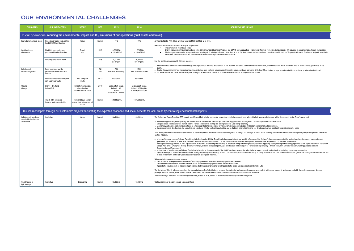### OUR ENVIRONMENTAL CHALLENGES

| <b>OUR GOALS</b>                                                                                                                | <b>OUR INDICATORS</b>                                                | <b>SCOPE</b>                                                         | <b>REF</b>                         | 2015                                                                                          | 2016                                                                            | <b>ACHIEVEMENTS IN 2016</b>                                                                                                                                                                                                                                                                                                                                                                                                                                                                                                                                                                                                                                                                                                                                                                                                                                                                                                                                                                                                                                                                                                                                                                                                                                                                                                                                                                                                                                                                                                                                                                                                                                                                                                                                                                                                                                                                                                                                                                                                                                                                                                                                                                                                                                                                                                                                                                                                                                                                                                                                                                                                                                                                                                                                                                                                                                                                                                                                                                                                                                                                                                                                                                                                                                                                                                                                                                                                                                                                                                                                                                                                                                                                                        |  |  |
|---------------------------------------------------------------------------------------------------------------------------------|----------------------------------------------------------------------|----------------------------------------------------------------------|------------------------------------|-----------------------------------------------------------------------------------------------|---------------------------------------------------------------------------------|--------------------------------------------------------------------------------------------------------------------------------------------------------------------------------------------------------------------------------------------------------------------------------------------------------------------------------------------------------------------------------------------------------------------------------------------------------------------------------------------------------------------------------------------------------------------------------------------------------------------------------------------------------------------------------------------------------------------------------------------------------------------------------------------------------------------------------------------------------------------------------------------------------------------------------------------------------------------------------------------------------------------------------------------------------------------------------------------------------------------------------------------------------------------------------------------------------------------------------------------------------------------------------------------------------------------------------------------------------------------------------------------------------------------------------------------------------------------------------------------------------------------------------------------------------------------------------------------------------------------------------------------------------------------------------------------------------------------------------------------------------------------------------------------------------------------------------------------------------------------------------------------------------------------------------------------------------------------------------------------------------------------------------------------------------------------------------------------------------------------------------------------------------------------------------------------------------------------------------------------------------------------------------------------------------------------------------------------------------------------------------------------------------------------------------------------------------------------------------------------------------------------------------------------------------------------------------------------------------------------------------------------------------------------------------------------------------------------------------------------------------------------------------------------------------------------------------------------------------------------------------------------------------------------------------------------------------------------------------------------------------------------------------------------------------------------------------------------------------------------------------------------------------------------------------------------------------------------------------------------------------------------------------------------------------------------------------------------------------------------------------------------------------------------------------------------------------------------------------------------------------------------------------------------------------------------------------------------------------------------------------------------------------------------------------------------------------------------|--|--|
| In our operations: reducing the environmental impact and CO <sub>2</sub> emissions of our operations (built assets and travel). |                                                                      |                                                                      |                                    |                                                                                               |                                                                                 |                                                                                                                                                                                                                                                                                                                                                                                                                                                                                                                                                                                                                                                                                                                                                                                                                                                                                                                                                                                                                                                                                                                                                                                                                                                                                                                                                                                                                                                                                                                                                                                                                                                                                                                                                                                                                                                                                                                                                                                                                                                                                                                                                                                                                                                                                                                                                                                                                                                                                                                                                                                                                                                                                                                                                                                                                                                                                                                                                                                                                                                                                                                                                                                                                                                                                                                                                                                                                                                                                                                                                                                                                                                                                                                    |  |  |
| Internal environmental policy                                                                                                   | Proportion of Egis's business that<br>has ISO 14001 certification    | Group                                                                | Internal                           | 79%                                                                                           | 79%                                                                             | At the end of 2016, 79% of Egis activities were ISO14001 certified, as in 2015.<br>Maintenance of efforts to control our ecological footprint with:                                                                                                                                                                                                                                                                                                                                                                                                                                                                                                                                                                                                                                                                                                                                                                                                                                                                                                                                                                                                                                                                                                                                                                                                                                                                                                                                                                                                                                                                                                                                                                                                                                                                                                                                                                                                                                                                                                                                                                                                                                                                                                                                                                                                                                                                                                                                                                                                                                                                                                                                                                                                                                                                                                                                                                                                                                                                                                                                                                                                                                                                                                                                                                                                                                                                                                                                                                                                                                                                                                                                                                |  |  |
| Sustainable use<br>of resources                                                                                                 | Electricity consumption and<br>purchase of heating & cooling         | French<br>sites                                                      | EN <sub>3</sub>                    | 13,500 MWh<br>or 155 kWh/m <sup>2</sup>                                                       | 11,920 MWh<br>or 140 kWh/m <sup>2</sup>                                         | The continuation of our travel policy<br>Energy management trial: implementation since 2015 on our Saint Quentin en Yvelines site (START, our headquarters - France) and Montreuil Terra Nova 3 site enabled a 9% reduction in our consumption (French implantation)<br>Monitoring our consumption using consolidated reporting of 13 buildings in France (rather than 10 in 2015). We communicated our results on the web-accessible platform "Empreinte à la trace" (Tracing our footprint) which he<br>to visualise the environmental data of our main sites and to promote good environmental practices.<br>In a like-for-like comparison with 2015, we observed:<br>• A reduction in our emissions with reduced energy consumption in our buildings (efforts made on the Montreuil and Saint Quentin en Yvelines French sites, and reduction also due to a relatively mild 2015-2016 winter, parti<br>South).<br>• Despite the development of our international business, emissions from our travel also decreased. In relative values, our travel represents 84% of our CO <sub>2</sub> emissions, a large proportion of which is produced by internatio<br>• Our waste volumes are stable, with 46% recycled. The figure as an absolute value is an increase as we extended our activity from 10 to 13 sites.                                                                                                                                                                                                                                                                                                                                                                                                                                                                                                                                                                                                                                                                                                                                                                                                                                                                                                                                                                                                                                                                                                                                                                                                                                                                                                                                                                                                                                                                                                                                                                                                                                                                                                                                                                                                                                                                                                                                                                                                                                                                                                                                                                                                                                                                                                                                                                                               |  |  |
|                                                                                                                                 | Consumption of mains water                                           |                                                                      | EN <sub>8</sub>                    | $26,118 \text{ m}^3$<br>$8.3 \text{ m}^3/\text{pers}$                                         | $20,300 \text{ m}^3$<br>or 6 $m^3$ /pers.                                       |                                                                                                                                                                                                                                                                                                                                                                                                                                                                                                                                                                                                                                                                                                                                                                                                                                                                                                                                                                                                                                                                                                                                                                                                                                                                                                                                                                                                                                                                                                                                                                                                                                                                                                                                                                                                                                                                                                                                                                                                                                                                                                                                                                                                                                                                                                                                                                                                                                                                                                                                                                                                                                                                                                                                                                                                                                                                                                                                                                                                                                                                                                                                                                                                                                                                                                                                                                                                                                                                                                                                                                                                                                                                                                                    |  |  |
| Pollution and<br>waste management                                                                                               | Paper purchases and the<br>percentages of which are eco-<br>friendly |                                                                      | EN <sub>1</sub><br>EN <sub>2</sub> | 76 t<br>Over 90% eco-friendly                                                                 | $101$ t.<br>98% bear the Eco label                                              |                                                                                                                                                                                                                                                                                                                                                                                                                                                                                                                                                                                                                                                                                                                                                                                                                                                                                                                                                                                                                                                                                                                                                                                                                                                                                                                                                                                                                                                                                                                                                                                                                                                                                                                                                                                                                                                                                                                                                                                                                                                                                                                                                                                                                                                                                                                                                                                                                                                                                                                                                                                                                                                                                                                                                                                                                                                                                                                                                                                                                                                                                                                                                                                                                                                                                                                                                                                                                                                                                                                                                                                                                                                                                                                    |  |  |
|                                                                                                                                 | Production of sorted and recycled<br>non-hazardous waste             | Excl. computer<br>waste                                              | <b>EN 22</b>                       | 410 tonnes                                                                                    | 652 tonnes                                                                      |                                                                                                                                                                                                                                                                                                                                                                                                                                                                                                                                                                                                                                                                                                                                                                                                                                                                                                                                                                                                                                                                                                                                                                                                                                                                                                                                                                                                                                                                                                                                                                                                                                                                                                                                                                                                                                                                                                                                                                                                                                                                                                                                                                                                                                                                                                                                                                                                                                                                                                                                                                                                                                                                                                                                                                                                                                                                                                                                                                                                                                                                                                                                                                                                                                                                                                                                                                                                                                                                                                                                                                                                                                                                                                                    |  |  |
| Climate<br>Change                                                                                                               | Energy - direct and<br>indirect GHG                                  | linked to fixed sources<br>of combustion<br>and heat transfer fluids | <b>EN 16</b>                       | Direct: 313 t. eq CO <sub>2</sub><br>Indirect: 1185<br>$eq$ $C02$<br>or 380 kg eq $CO2/pers.$ | Direct: 229 t. eq $CO2$<br>Indirect: 1650t.ea CO2.<br>or 360 kg eq $CO2$ /pers. |                                                                                                                                                                                                                                                                                                                                                                                                                                                                                                                                                                                                                                                                                                                                                                                                                                                                                                                                                                                                                                                                                                                                                                                                                                                                                                                                                                                                                                                                                                                                                                                                                                                                                                                                                                                                                                                                                                                                                                                                                                                                                                                                                                                                                                                                                                                                                                                                                                                                                                                                                                                                                                                                                                                                                                                                                                                                                                                                                                                                                                                                                                                                                                                                                                                                                                                                                                                                                                                                                                                                                                                                                                                                                                                    |  |  |
|                                                                                                                                 | Travel - GHG emissions<br>from our main corporate trips              | Cars and travel agency<br>review (train, plane) - partial<br>scope   | Internal                           | 16,102 t.eq CO <sub>2</sub>                                                                   | 13,752 t.eq CO <sub>2</sub>                                                     |                                                                                                                                                                                                                                                                                                                                                                                                                                                                                                                                                                                                                                                                                                                                                                                                                                                                                                                                                                                                                                                                                                                                                                                                                                                                                                                                                                                                                                                                                                                                                                                                                                                                                                                                                                                                                                                                                                                                                                                                                                                                                                                                                                                                                                                                                                                                                                                                                                                                                                                                                                                                                                                                                                                                                                                                                                                                                                                                                                                                                                                                                                                                                                                                                                                                                                                                                                                                                                                                                                                                                                                                                                                                                                                    |  |  |
|                                                                                                                                 |                                                                      |                                                                      |                                    |                                                                                               |                                                                                 | Our indirect impact through our customers' projects: facilitating the expected economic and social benefits for local areas by controlling environmental impacts.                                                                                                                                                                                                                                                                                                                                                                                                                                                                                                                                                                                                                                                                                                                                                                                                                                                                                                                                                                                                                                                                                                                                                                                                                                                                                                                                                                                                                                                                                                                                                                                                                                                                                                                                                                                                                                                                                                                                                                                                                                                                                                                                                                                                                                                                                                                                                                                                                                                                                                                                                                                                                                                                                                                                                                                                                                                                                                                                                                                                                                                                                                                                                                                                                                                                                                                                                                                                                                                                                                                                                  |  |  |
| Solutions with significant<br>sustainable development<br>added value                                                            | Qualitative                                                          | Group                                                                | Internal                           | Qualitative                                                                                   | Qualitative                                                                     | The Ecology and Energy Transition (EET) impacts on all fields of Egis activity, from design to operation. 4 priority segments were selected by Egis governing bodies and will be the segments for the Group's investment:<br>• Building energy efficiency: strengthening and diversification across services, particularly across the energy performance management component (new-build and renovations)<br>• Energy in cities: penetration of the market, firstly in France, particularly in heating and cooling networks- Cold energy autonomy-<br>• Local energy autonomy: gradual implementation of a new integrated offer, responding to the market's evolution towards decentralised production and local consumption.<br>• Energy mix projects; development of a consulting and assistance offer for contracting authorities, and of studies in external partnership and development across specifically targeted geographic areas.<br>2016 was a particularly rich and dense year in terms of the development of innovative offers across all segments of the Egis EET strategy, as shown by the following achievements for the construction phase ithe operation ph<br>another indicator).<br>• In terms of transport energy efficiency, Egis obtained labelling from the IDDRIM (French institution on road, streets and mobility infrastructure) for Variways®, its eco-comparison tool for road variants based on energy<br>areenhouse aas emissions. In June 2016, Variways® was also selected by Committee 21 as the 1st network of sustainable development actors in France, as part of the "21 solutions for tomorrow".<br>• With regards to energy in cities, in 2016 Egis enhanced its expertise by extending and switching to renewable energy for existing heating networks, supporting the engineering work of energy operators for the largest netw<br>Europe: Paris for the CPCU (Paris Heating Network, from Engie, a French energy company), Lyon and Toulouse for Dalkia (EDF, a French electricity company) - French cities, Lyiv (Ukraine) with EBRD funding (European Bank for<br>Reconstruction and Development).<br>• In the context of building energy efficiency, Egis is heavily invested in the development of the SOBRE solution, a new service offer aiming to support property professionals in controlling their energy consumption.<br>• Egis also developed a new turnkey service offer for heating and cooling network energy projects. The first two operations have been set up in Saclay for EPPS- Grand Paris (international campus: geothermal heating and coo<br>in Rueil (French town) for the city (Arsenal eco-district: smart and "green" network).<br>With regards to new urban transport services:<br>• The commercial development of the Kiwhi Pass® solution (payment card for electrical recharging terminals) continued.<br>• The NewMotion business was launched in France for the roll-out of recharging terminals for electric vehicle users.<br>• A peak traffic reduction trial, an incentivising programme that rewards car drivers for avoiding peak traffic times, was successfully conducted in Lille.<br>The first sales of Wind-It, telecommunication relay towers that are self-sufficient in terms of energy thanks to wind and photovoltaic sources, were made to a telephone operator in Madagascar and with Orange in Luxembourg.<br>prototype was built in Revel, in the south of France. These towers are the forerunner of new rural electrification solutions that are 100% renewable.<br>Visit www.rse-egis.fr to check out the winning and certified projects in 2016, as well as those whose sustainability has been recognized. |  |  |
| Quantification of<br>Egis leverage                                                                                              | Qualitative                                                          | Engineering                                                          | Internal                           | Qualitative                                                                                   | Qualitative                                                                     | We have continued to deploy our eco-comparison tools                                                                                                                                                                                                                                                                                                                                                                                                                                                                                                                                                                                                                                                                                                                                                                                                                                                                                                                                                                                                                                                                                                                                                                                                                                                                                                                                                                                                                                                                                                                                                                                                                                                                                                                                                                                                                                                                                                                                                                                                                                                                                                                                                                                                                                                                                                                                                                                                                                                                                                                                                                                                                                                                                                                                                                                                                                                                                                                                                                                                                                                                                                                                                                                                                                                                                                                                                                                                                                                                                                                                                                                                                                                               |  |  |